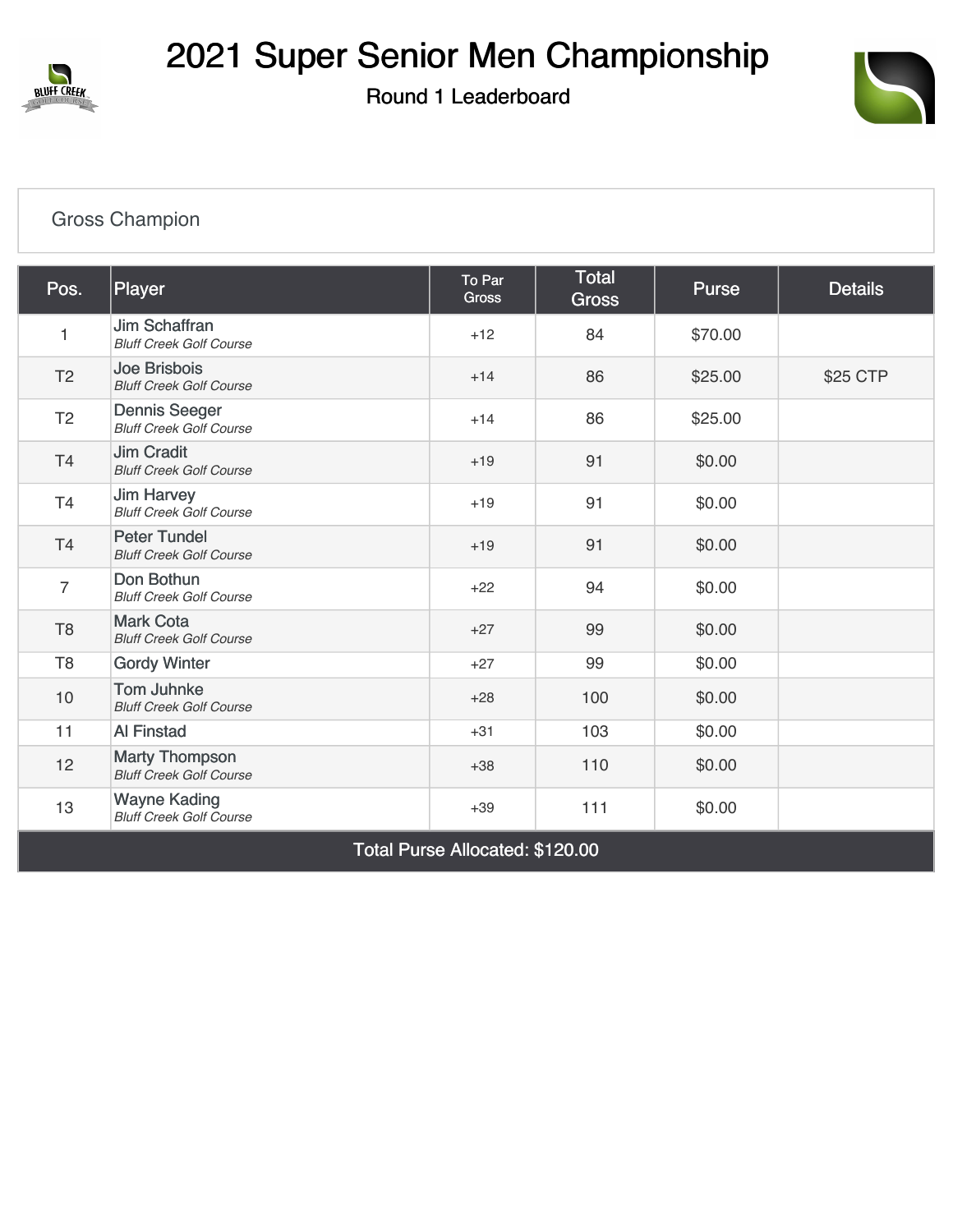

Round 1 Leaderboard



## [Gross Champion](https://cdn2.golfgenius.com/v2tournaments/7705438249128343016?called_from=&round_index=1)

| Pos.                            | Player                                                  | To Par<br><b>Gross</b> | <b>Total</b><br><b>Gross</b> | <b>Purse</b> | <b>Details</b> |  |  |  |
|---------------------------------|---------------------------------------------------------|------------------------|------------------------------|--------------|----------------|--|--|--|
| 1                               | Jim Schaffran<br><b>Bluff Creek Golf Course</b>         | $+12$                  | 84                           | \$70.00      |                |  |  |  |
| T <sub>2</sub>                  | Joe Brisbois<br><b>Bluff Creek Golf Course</b>          | $+14$                  | 86                           | \$25.00      | \$25 CTP       |  |  |  |
| T <sub>2</sub>                  | <b>Dennis Seeger</b><br><b>Bluff Creek Golf Course</b>  | $+14$                  | 86                           | \$25.00      |                |  |  |  |
| T4                              | <b>Jim Cradit</b><br><b>Bluff Creek Golf Course</b>     | $+19$                  | 91                           | \$0.00       |                |  |  |  |
| T <sub>4</sub>                  | <b>Jim Harvey</b><br><b>Bluff Creek Golf Course</b>     | $+19$                  | 91                           | \$0.00       |                |  |  |  |
| T4                              | <b>Peter Tundel</b><br><b>Bluff Creek Golf Course</b>   | $+19$                  | 91                           | \$0.00       |                |  |  |  |
| $\overline{7}$                  | Don Bothun<br><b>Bluff Creek Golf Course</b>            | $+22$                  | 94                           | \$0.00       |                |  |  |  |
| T <sub>8</sub>                  | <b>Mark Cota</b><br><b>Bluff Creek Golf Course</b>      | $+27$                  | 99                           | \$0.00       |                |  |  |  |
| T <sub>8</sub>                  | <b>Gordy Winter</b>                                     | $+27$                  | 99                           | \$0.00       |                |  |  |  |
| 10                              | <b>Tom Juhnke</b><br><b>Bluff Creek Golf Course</b>     | $+28$                  | 100                          | \$0.00       |                |  |  |  |
| 11                              | <b>Al Finstad</b>                                       | $+31$                  | 103                          | \$0.00       |                |  |  |  |
| 12                              | <b>Marty Thompson</b><br><b>Bluff Creek Golf Course</b> | $+38$                  | 110                          | \$0.00       |                |  |  |  |
| 13                              | <b>Wayne Kading</b><br><b>Bluff Creek Golf Course</b>   | $+39$                  | 111                          | \$0.00       |                |  |  |  |
| Total Purse Allocated: \$120.00 |                                                         |                        |                              |              |                |  |  |  |